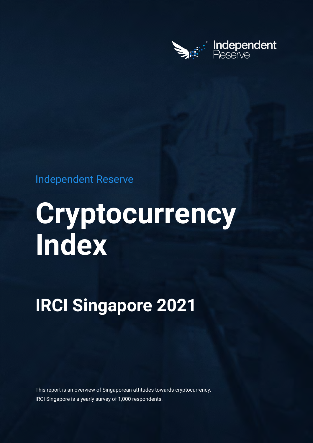

# Independent Reserve

# **Cryptocurrency Index**

# **IRCI Singapore 2021**

This report is an overview of Singaporean attitudes towards cryptocurrency. IRCI Singapore is a yearly survey of 1,000 respondents.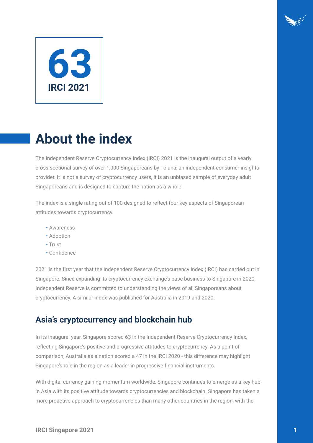# **63 IRCI 2021**

# **About the index**

The Independent Reserve Cryptocurrency Index (IRCI) 2021 is the inaugural output of a yearly cross-sectional survey of over 1,000 Singaporeans by Toluna, an independent consumer insights provider. It is not a survey of cryptocurrency users, it is an unbiased sample of everyday adult Singaporeans and is designed to capture the nation as a whole.

The index is a single rating out of 100 designed to reflect four key aspects of Singaporean attitudes towards cryptocurrency.

- Awareness
- Adoption
- Trust
- Confidence

2021 is the first year that the Independent Reserve Cryptocurrency Index (IRCI) has carried out in Singapore. Since expanding its cryptocurrency exchange's base business to Singapore in 2020, Independent Reserve is committed to understanding the views of all Singaporeans about cryptocurrency. A similar index was published for Australia in 2019 and 2020.

### **Asia's cryptocurrency and blockchain hub**

In its inaugural year, Singapore scored 63 in the Independent Reserve Cryptocurrency Index, reflecting Singapore's positive and progressive attitudes to cryptocurrency. As a point of comparison, Australia as a nation scored a 47 in the IRCI 2020 - this difference may highlight Singapore's role in the region as a leader in progressive financial instruments.

With digital currency gaining momentum worldwide, Singapore continues to emerge as a key hub in Asia with its positive attitude towards cryptocurrencies and blockchain. Singapore has taken a more proactive approach to cryptocurrencies than many other countries in the region, with the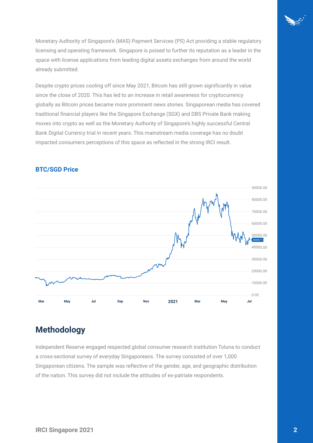

Monetary Authority of Singapore's (MAS) Payment Services (PS) Act providing a stable regulatory licensing and operating framework. Singapore is poised to further its reputation as a leader in the space with license applications from leading digital assets exchanges from around the world already submitted.

Despite crypto prices cooling off since May 2021, Bitcoin has still grown significantly in value since the close of 2020. This has led to an increase in retail awareness for cryptocurrency globally as Bitcoin prices became more prominent news stories. Singaporean media has covered traditional financial players like the Singapore Exchange (SGX) and DBS Private Bank making moves into crypto as well as the Monetary Authority of Singapore's highly successful Central Bank Digital Currency trial in recent years. This mainstream media coverage has no doubt impacted consumers perceptions of this space as reflected in the strong IRCI result.



#### **BTC/SGD Price**

## **Methodology**

Independent Reserve engaged respected global consumer research institution Toluna to conduct a cross-sectional survey of everyday Singaporeans. The survey consisted of over 1,000 Singaporean citizens. The sample was reflective of the gender, age, and geographic distribution of the nation. This survey did not include the attitudes of ex-patriate respondents.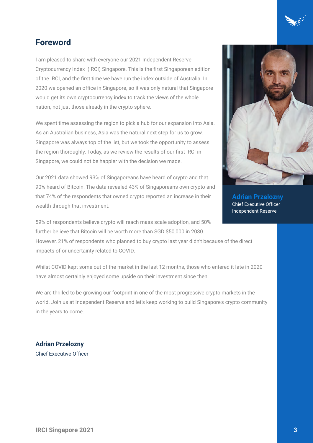

I am pleased to share with everyone our 2021 Independent Reserve Cryptocurrency Index (IRCI) Singapore. This is the first Singaporean edition of the IRCI, and the first time we have run the index outside of Australia. In 2020 we opened an office in Singapore, so it was only natural that Singapore would get its own cryptocurrency index to track the views of the whole nation, not just those already in the crypto sphere.

We spent time assessing the region to pick a hub for our expansion into Asia. As an Australian business, Asia was the natural next step for us to grow. Singapore was always top of the list, but we took the opportunity to assess the region thoroughly. Today, as we review the results of our first IRCI in Singapore, we could not be happier with the decision we made.

Our 2021 data showed 93% of Singaporeans have heard of crypto and that 90% heard of Bitcoin. The data revealed 43% of Singaporeans own crypto and that 74% of the respondents that owned crypto reported an increase in their wealth through that investment.

59% of respondents believe crypto will reach mass scale adoption, and 50% further believe that Bitcoin will be worth more than SGD \$50,000 in 2030. However, 21% of respondents who planned to buy crypto last year didn't because of the direct impacts of or uncertainty related to COVID.

Whilst COVID kept some out of the market in the last 12 months, those who entered it late in 2020 have almost certainly enjoyed some upside on their investment since then.

We are thrilled to be growing our footprint in one of the most progressive crypto markets in the world. Join us at Independent Reserve and let's keep working to build Singapore's crypto community in the years to come.

**Adrian Przelozny** Chief Executive Officer



**Adrian Przelozny** Chief Executive Officer Independent Reserve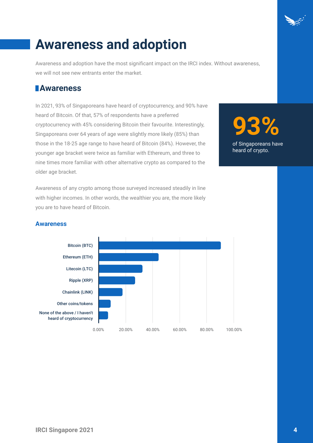# **Awareness and adoption**

Awareness and adoption have the most significant impact on the IRCI index. Without awareness, we will not see new entrants enter the market.

### **Awareness**

In 2021, 93% of Singaporeans have heard of cryptocurrency, and 90% have heard of Bitcoin. Of that, 57% of respondents have a preferred cryptocurrency with 45% considering Bitcoin their favourite. Interestingly, Singaporeans over 64 years of age were slightly more likely (85%) than those in the 18-25 age range to have heard of Bitcoin (84%). However, the younger age bracket were twice as familiar with Ethereum, and three to nine times more familiar with other alternative crypto as compared to the older age bracket.

Awareness of any crypto among those surveyed increased steadily in line with higher incomes. In other words, the wealthier you are, the more likely you are to have heard of Bitcoin.

**93%** of Singaporeans have heard of crypto.

#### **Awareness**

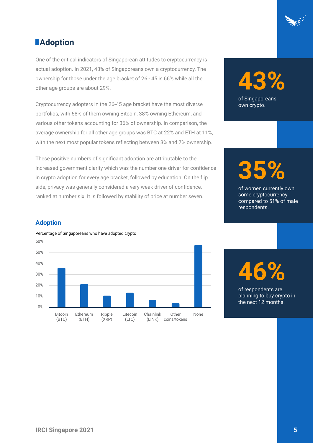

## *<u>Adoption</u>*

One of the critical indicators of Singaporean attitudes to cryptocurrency is actual adoption. In 2021, 43% of Singaporeans own a cryptocurrency. The ownership for those under the age bracket of 26 - 45 is 66% while all the other age groups are about 29%.

Cryptocurrency adopters in the 26-45 age bracket have the most diverse portfolios, with 58% of them owning Bitcoin, 38% owning Ethereum, and various other tokens accounting for 36% of ownership. In comparison, the average ownership for all other age groups was BTC at 22% and ETH at 11%, with the next most popular tokens reflecting between 3% and 7% ownership.

These positive numbers of significant adoption are attributable to the increased government clarity which was the number one driver for confidence in crypto adoption for every age bracket, followed by education. On the flip side, privacy was generally considered a very weak driver of confidence, ranked at number six. It is followed by stability of price at number seven.

# **43%** of Singaporeans

own crypto.

**35%**

of women currently own some cryptocurrency compared to 51% of male respondents.

#### **Adoption**



#### Percentage of Singaporeans who have adopted crypto

**46%**

of respondents are planning to buy crypto in the next 12 months.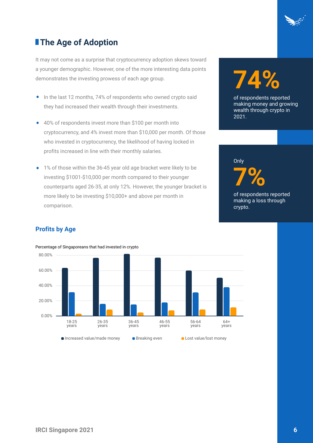

# **The Age of Adoption**

It may not come as a surprise that cryptocurrency adoption skews toward a younger demographic. However, one of the more interesting data points demonstrates the investing prowess of each age group.

- In the last 12 months, 74% of respondents who owned crypto said they had increased their wealth through their investments.
- 40% of respondents invest more than \$100 per month into cryptocurrency, and 4% invest more than \$10,000 per month. Of those who invested in cryptocurrency, the likelihood of having locked in profits increased in line with their monthly salaries.
- 1% of those within the 36-45 year old age bracket were likely to be investing \$1001-\$10,000 per month compared to their younger counterparts aged 26-35, at only 12%. However, the younger bracket is more likely to be investing \$10,000+ and above per month in comparison. •

# **74%**

of respondents reported making money and growing wealth through crypto in 2021.

**7%** of respondents reported

**Only** 

making a loss through crypto.

#### **Profits by Age**

Percentage of Singaporeans that had invested in crypto

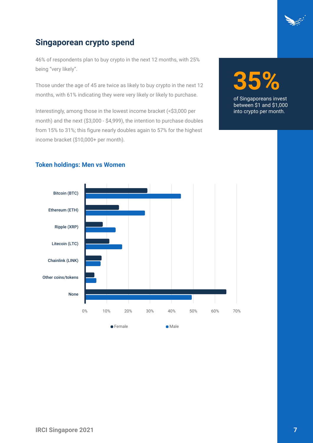

### **Singaporean crypto spend**

46% of respondents plan to buy crypto in the next 12 months, with 25% being "very likely".

Those under the age of 45 are twice as likely to buy crypto in the next 12 months, with 61% indicating they were very likely or likely to purchase.

Interestingly, among those in the lowest income bracket (<\$3,000 per month) and the next (\$3,000 - \$4,999), the intention to purchase doubles from 15% to 31%; this figure nearly doubles again to 57% for the highest income bracket (\$10,000+ per month).



of Singaporeans invest between \$1 and \$1,000 into crypto per month.



#### **Token holdings: Men vs Women**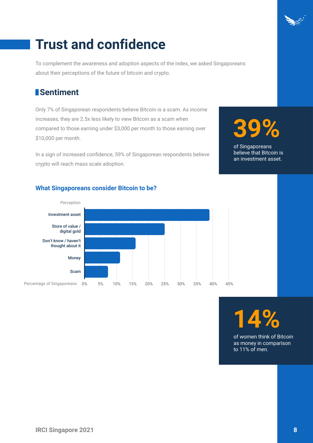# **Trust and confidence**

To complement the awareness and adoption aspects of the index, we asked Singaporeans about their perceptions of the future of bitcoin and crypto.

## **Sentiment**

Only 7% of Singaporean respondents believe Bitcoin is a scam. As income increases, they are 2.5x less likely to view Bitcoin as a scam when compared to those earning under \$3,000 per month to those earning over \$10,000 per month.

In a sign of increased confidence, 59% of Singaporean respondents believe crypto will reach mass scale adoption.

# **39%**

of Singaporeans believe that Bitcoin is an investment asset.

#### **What Singaporeans consider Bitcoin to be?**



**14%**

of women think of Bitcoin as money in comparison to 11% of men.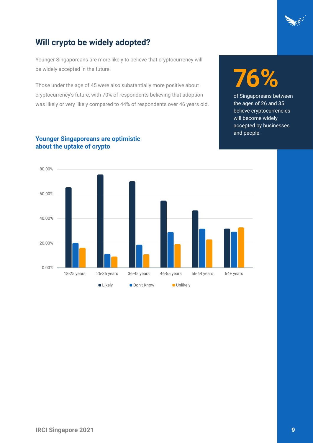

## **Will crypto be widely adopted?**

Younger Singaporeans are more likely to believe that cryptocurrency will be widely accepted in the future.

Those under the age of 45 were also substantially more positive about cryptocurrency's future, with 70% of respondents believing that adoption was likely or very likely compared to 44% of respondents over 46 years old.

# **76%**

of Singaporeans between the ages of 26 and 35 believe cryptocurrencies will become widely accepted by businesses and people.



#### **Younger Singaporeans are optimistic about the uptake of crypto**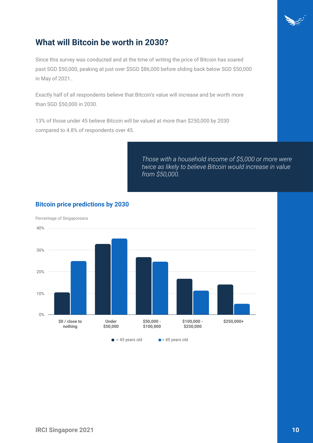

## **What will Bitcoin be worth in 2030?**

Since this survey was conducted and at the time of writing the price of Bitcoin has soared past SGD \$50,000, peaking at just over \$SGD \$86,000 before sliding back below SGD \$50,000 in May of 2021..

Exactly half of all respondents believe that Bitcoin's value will increase and be worth more than SGD \$50,000 in 2030.

13% of those under 45 believe Bitcoin will be valued at more than \$250,000 by 2030 compared to 4.8% of respondents over 45.

> *Those with a household income of \$5,000 or more were twice as likely to believe Bitcoin would increase in value from \$50,000.*



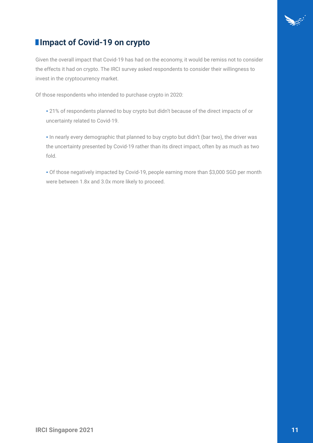

## **Impact of Covid-19 on crypto**

Given the overall impact that Covid-19 has had on the economy, it would be remiss not to consider the effects it had on crypto. The IRCI survey asked respondents to consider their willingness to invest in the cryptocurrency market.

Of those respondents who intended to purchase crypto in 2020:

• 21% of respondents planned to buy crypto but didn't because of the direct impacts of or uncertainty related to Covid-19.

• In nearly every demographic that planned to buy crypto but didn't (bar two), the driver was the uncertainty presented by Covid-19 rather than its direct impact, often by as much as two fold.

• Of those negatively impacted by Covid-19, people earning more than \$3,000 SGD per month were between 1.8x and 3.0x more likely to proceed.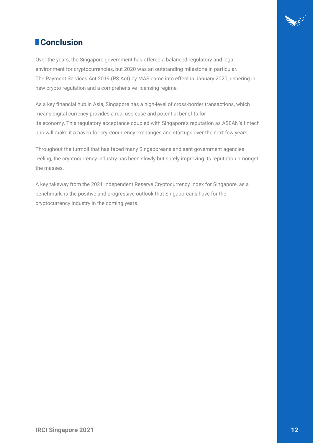

## *<u><b>* Conclusion</u>

Over the years, the Singapore government has offered a balanced regulatory and legal environment for cryptocurrencies, but 2020 was an outstanding milestone in particular. The Payment Services Act 2019 (PS Act) by MAS came into effect in January 2020, ushering in new crypto regulation and a comprehensive licensing regime.

As a key financial hub in Asia, Singapore has a high-level of cross-border transactions, which means digital currency provides a real use-case and potential benefits for its economy. This regulatory acceptance coupled with Singapore's reputation as ASEAN's fintech hub will make it a haven for cryptocurrency exchanges and startups over the next few years.

Throughout the turmoil that has faced many Singaporeans and sent government agencies reeling, the cryptocurrency industry has been slowly but surely improving its reputation amongst the masses.

A key takeway from the 2021 Independent Reserve Cryptocurrency Index for Singapore, as a benchmark, is the positive and progressive outlook that Singaporeans have for the cryptocurrency industry in the coming years.